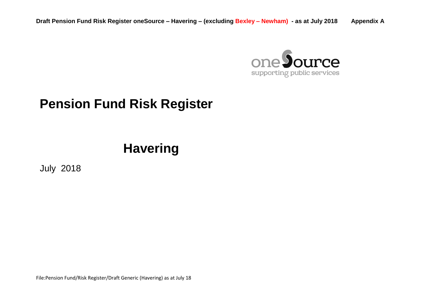

## **Pension Fund Risk Register**

# **Havering**

July 2018

File:Pension Fund/Risk Register/Draft Generic (Havering) as at July 18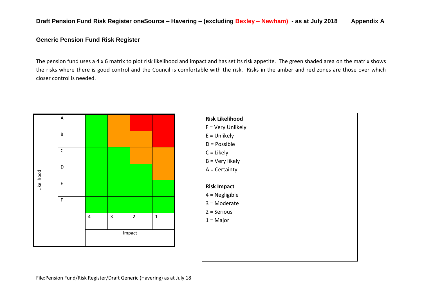#### **Generic Pension Fund Risk Register**

The pension fund uses a 4 x 6 matrix to plot risk likelihood and impact and has set its risk appetite. The green shaded area on the matrix shows the risks where there is good control and the Council is comfortable with the risk. Risks in the amber and red zones are those over which closer control is needed.



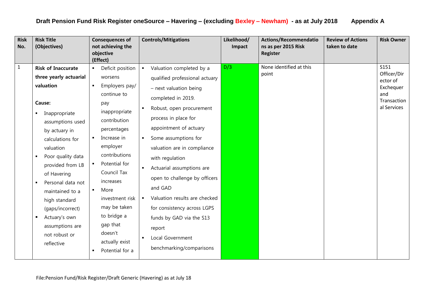| <b>Risk</b><br>No. | <b>Risk Title</b><br>(Objectives)                                                                                                                                                                                                                                                                                                                                                                                                                 | <b>Consequences of</b><br>not achieving the<br>objective<br>(Effect)                                                                                                                                                                                                                                                                                                                     | <b>Controls/Mitigations</b>                                                                                                                                                                                                                                                                                                                                                                                                                                                                                                                                                                                   | Likelihood/<br>Impact | <b>Actions/Recommendatio</b><br>ns as per 2015 Risk<br>Register | <b>Review of Actions</b><br>taken to date | <b>Risk Owner</b>                                                                 |
|--------------------|---------------------------------------------------------------------------------------------------------------------------------------------------------------------------------------------------------------------------------------------------------------------------------------------------------------------------------------------------------------------------------------------------------------------------------------------------|------------------------------------------------------------------------------------------------------------------------------------------------------------------------------------------------------------------------------------------------------------------------------------------------------------------------------------------------------------------------------------------|---------------------------------------------------------------------------------------------------------------------------------------------------------------------------------------------------------------------------------------------------------------------------------------------------------------------------------------------------------------------------------------------------------------------------------------------------------------------------------------------------------------------------------------------------------------------------------------------------------------|-----------------------|-----------------------------------------------------------------|-------------------------------------------|-----------------------------------------------------------------------------------|
| $\mathbf{1}$       | <b>Risk of Inaccurate</b><br>three yearly actuarial<br>valuation<br>Cause:<br>Inappropriate<br>$\blacksquare$<br>assumptions used<br>by actuary in<br>calculations for<br>valuation<br>Poor quality data<br>$\blacksquare$<br>provided from LB<br>of Havering<br>Personal data not<br>$\blacksquare$<br>maintained to a<br>high standard<br>(gaps/incorrect)<br>Actuary's own<br>$\blacksquare$<br>assumptions are<br>not robust or<br>reflective | Deficit position<br>worsens<br>Employers pay/<br>$\blacksquare$<br>continue to<br>pay<br>inappropriate<br>contribution<br>percentages<br>Increase in<br>employer<br>contributions<br>Potential for<br>$\blacksquare$<br>Council Tax<br>increases<br>More<br>$\blacksquare$<br>investment risk<br>may be taken<br>to bridge a<br>gap that<br>doesn't<br>actually exist<br>Potential for a | Valuation completed by a<br>$\blacksquare$<br>qualified professional actuary<br>- next valuation being<br>completed in 2019.<br>Robust, open procurement<br>$\blacksquare$<br>process in place for<br>appointment of actuary<br>Some assumptions for<br>$\blacksquare$<br>valuation are in compliance<br>with regulation<br>Actuarial assumptions are<br>$\blacksquare$<br>open to challenge by officers<br>and GAD<br>Valuation results are checked<br>$\blacksquare$<br>for consistency across LGPS<br>funds by GAD via the S13<br>report<br>Local Government<br>$\blacksquare$<br>benchmarking/comparisons | D/3                   | None identified at this<br>point                                |                                           | S151<br>Officer/Dir<br>ector of<br>Exchequer<br>and<br>Transaction<br>al Services |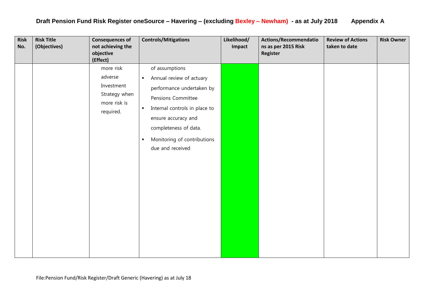| <b>Risk</b><br>No. | <b>Risk Title</b><br>(Objectives) | <b>Consequences of</b><br>not achieving the<br>objective<br>(Effect)             | <b>Controls/Mitigations</b>                                                                                                                                                                                                                                                | Likelihood/<br>Impact | Actions/Recommendatio<br>ns as per 2015 Risk<br>Register | <b>Review of Actions</b><br>taken to date | <b>Risk Owner</b> |
|--------------------|-----------------------------------|----------------------------------------------------------------------------------|----------------------------------------------------------------------------------------------------------------------------------------------------------------------------------------------------------------------------------------------------------------------------|-----------------------|----------------------------------------------------------|-------------------------------------------|-------------------|
|                    |                                   | more risk<br>adverse<br>Investment<br>Strategy when<br>more risk is<br>required. | of assumptions<br>Annual review of actuary<br>$\blacksquare$<br>performance undertaken by<br>Pensions Committee<br>Internal controls in place to<br>$\blacksquare$<br>ensure accuracy and<br>completeness of data.<br>Monitoring of contributions<br>п<br>due and received |                       |                                                          |                                           |                   |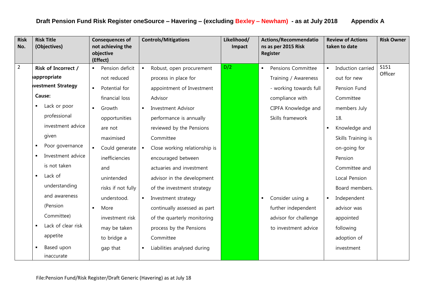| <b>Risk</b><br>No. | <b>Risk Title</b><br>(Objectives) | <b>Consequences of</b><br>not achieving the<br>objective<br>(Effect) | <b>Controls/Mitigations</b>                     | Likelihood/<br>Impact | <b>Actions/Recommendatio</b><br>ns as per 2015 Risk<br>Register | <b>Review of Actions</b><br>taken to date | <b>Risk Owner</b> |
|--------------------|-----------------------------------|----------------------------------------------------------------------|-------------------------------------------------|-----------------------|-----------------------------------------------------------------|-------------------------------------------|-------------------|
| $\overline{2}$     | <b>Risk of Incorrect /</b>        | Pension deficit                                                      | Robust, open procurement<br>$\blacksquare$      | D/2                   | Pensions Committee<br>$\blacksquare$                            | Induction carried                         | S151              |
|                    | appropriate                       | not reduced                                                          | process in place for                            |                       | Training / Awareness                                            | out for new                               | Officer           |
|                    | vestment Strategy                 | Potential for                                                        | appointment of Investment                       |                       | - working towards full                                          | Pension Fund                              |                   |
|                    | Cause:                            | financial loss                                                       | Advisor                                         |                       | compliance with                                                 | Committee                                 |                   |
|                    | Lack or poor                      | Growth<br>$\blacksquare$                                             | <b>Investment Advisor</b><br>$\blacksquare$     |                       | CIPFA Knowledge and                                             | members July                              |                   |
|                    | professional                      | opportunities                                                        | performance is annually                         |                       | Skills framework                                                | 18.                                       |                   |
|                    | investment advice                 | are not                                                              | reviewed by the Pensions                        |                       |                                                                 | Knowledge and                             |                   |
|                    | given                             | maximised                                                            | Committee                                       |                       |                                                                 | Skills Training is                        |                   |
|                    | Poor governance                   | Could generate                                                       | Close working relationship is<br>$\blacksquare$ |                       |                                                                 | on-going for                              |                   |
|                    | Investment advice                 | inefficiencies                                                       | encouraged between                              |                       |                                                                 | Pension                                   |                   |
|                    | is not taken                      | and                                                                  | actuaries and investment                        |                       |                                                                 | Committee and                             |                   |
|                    | Lack of                           | unintended                                                           | advisor in the development                      |                       |                                                                 | Local Pension                             |                   |
|                    | understanding                     | risks if not fully                                                   | of the investment strategy                      |                       |                                                                 | Board members.                            |                   |
|                    | and awareness                     | understood.                                                          | Investment strategy<br>$\blacksquare$           |                       | Consider using a<br>$\blacksquare$                              | Independent                               |                   |
|                    | (Pension                          | More                                                                 | continually assessed as part                    |                       | further independent                                             | advisor was                               |                   |
|                    | Committee)                        | investment risk                                                      | of the quarterly monitoring                     |                       | advisor for challenge                                           | appointed                                 |                   |
|                    | Lack of clear risk                | may be taken                                                         | process by the Pensions                         |                       | to investment advice                                            | following                                 |                   |
|                    | appetite                          | to bridge a                                                          | Committee                                       |                       |                                                                 | adoption of                               |                   |
|                    | Based upon                        | gap that                                                             | Liabilities analysed during<br>$\blacksquare$   |                       |                                                                 | investment                                |                   |
|                    | inaccurate                        |                                                                      |                                                 |                       |                                                                 |                                           |                   |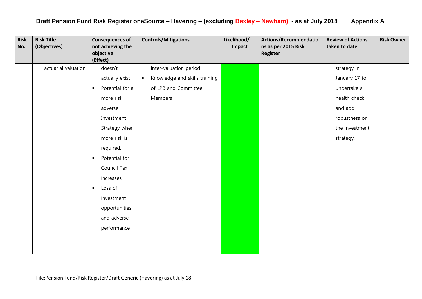| <b>Risk</b><br>No. | <b>Risk Title</b><br>(Objectives) | <b>Consequences of</b><br>not achieving the<br>objective<br>(Effect) | <b>Controls/Mitigations</b>                     | Likelihood/<br>Impact | <b>Actions/Recommendatio</b><br>ns as per 2015 Risk<br><b>Register</b> | <b>Review of Actions</b><br>taken to date | <b>Risk Owner</b> |
|--------------------|-----------------------------------|----------------------------------------------------------------------|-------------------------------------------------|-----------------------|------------------------------------------------------------------------|-------------------------------------------|-------------------|
|                    | actuarial valuation               | doesn't                                                              | inter-valuation period                          |                       |                                                                        | strategy in                               |                   |
|                    |                                   | actually exist                                                       | Knowledge and skills training<br>$\blacksquare$ |                       |                                                                        | January 17 to                             |                   |
|                    |                                   | Potential for a<br>٠                                                 | of LPB and Committee                            |                       |                                                                        | undertake a                               |                   |
|                    |                                   | more risk                                                            | Members                                         |                       |                                                                        | health check                              |                   |
|                    |                                   | adverse                                                              |                                                 |                       |                                                                        | and add                                   |                   |
|                    |                                   | Investment                                                           |                                                 |                       |                                                                        | robustness on                             |                   |
|                    |                                   | Strategy when                                                        |                                                 |                       |                                                                        | the investment                            |                   |
|                    |                                   | more risk is                                                         |                                                 |                       |                                                                        | strategy.                                 |                   |
|                    |                                   | required.                                                            |                                                 |                       |                                                                        |                                           |                   |
|                    |                                   | Potential for<br>$\blacksquare$                                      |                                                 |                       |                                                                        |                                           |                   |
|                    |                                   | Council Tax                                                          |                                                 |                       |                                                                        |                                           |                   |
|                    |                                   | increases                                                            |                                                 |                       |                                                                        |                                           |                   |
|                    |                                   | Loss of<br>$\blacksquare$                                            |                                                 |                       |                                                                        |                                           |                   |
|                    |                                   | investment                                                           |                                                 |                       |                                                                        |                                           |                   |
|                    |                                   | opportunities                                                        |                                                 |                       |                                                                        |                                           |                   |
|                    |                                   | and adverse                                                          |                                                 |                       |                                                                        |                                           |                   |
|                    |                                   | performance                                                          |                                                 |                       |                                                                        |                                           |                   |
|                    |                                   |                                                                      |                                                 |                       |                                                                        |                                           |                   |
|                    |                                   |                                                                      |                                                 |                       |                                                                        |                                           |                   |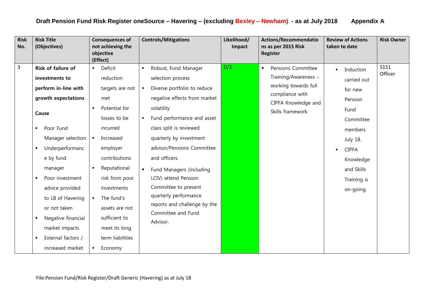| <b>Risk</b><br>No. | <b>Risk Title</b><br>(Objectives)                                                                                                                                                                                                                                                                                                                                                    | <b>Consequences of</b><br>not achieving the<br>objective<br>(Effect)                                                                                                                                                                                                                                                                                                              | <b>Controls/Mitigations</b>                                                                                                                                                                                                                                                                                                                                                                                                                                                                              | Likelihood/<br>Impact | <b>Actions/Recommendatio</b><br>ns as per 2015 Risk<br><b>Register</b>                                                                | <b>Review of Actions</b><br>taken to date                                                                                                                                                  | <b>Risk Owner</b> |
|--------------------|--------------------------------------------------------------------------------------------------------------------------------------------------------------------------------------------------------------------------------------------------------------------------------------------------------------------------------------------------------------------------------------|-----------------------------------------------------------------------------------------------------------------------------------------------------------------------------------------------------------------------------------------------------------------------------------------------------------------------------------------------------------------------------------|----------------------------------------------------------------------------------------------------------------------------------------------------------------------------------------------------------------------------------------------------------------------------------------------------------------------------------------------------------------------------------------------------------------------------------------------------------------------------------------------------------|-----------------------|---------------------------------------------------------------------------------------------------------------------------------------|--------------------------------------------------------------------------------------------------------------------------------------------------------------------------------------------|-------------------|
| $\overline{3}$     | Risk of failure of<br>investments to<br>perform in-line with<br>growth expectations<br>Cause<br>Poor Fund<br>٠<br>Manager selection<br>Underperformanc<br>$\blacksquare$<br>e by fund<br>manager<br>Poor investment<br>$\blacksquare$<br>advice provided<br>to LB of Havering<br>or not taken<br>Negative financial<br>٠<br>market impacts<br>External factors /<br>increased market | Deficit<br>$\blacksquare$<br>reduction<br>targets are not<br>met<br>Potential for<br>$\blacksquare$<br>losses to be<br>incurred<br>Increased<br>$\blacksquare$<br>employer<br>contributions<br>Reputational<br>risk from poor<br>investments<br>The fund's<br>$\blacksquare$<br>assets are not<br>sufficient to<br>meet its long<br>term liabilities<br>Economy<br>$\blacksquare$ | Robust, Fund Manager<br>$\blacksquare$<br>selection process<br>Diverse portfolio to reduce<br>$\blacksquare$<br>negative effects from market<br>volatility<br>Fund performance and asset<br>$\blacksquare$<br>class split is reviewed<br>quarterly by investment<br>advisor/Pensions Committee<br>and officers.<br>Fund Managers (including<br>$\blacksquare$<br>LCIV) attend Pension<br>Committee to present<br>quarterly performance<br>reports and challenge by the<br>Committee and Fund<br>Advisor. | D/3                   | Pensions Committee<br>٠<br>Training/Awareness -<br>working towards full<br>compliance with<br>CIPFA Knowledge and<br>Skills framework | Induction<br>$\blacksquare$<br>carried out<br>for new<br>Pension<br>Fund<br>Committee<br>members<br><b>July 18.</b><br><b>CIPFA</b><br>Knowledge<br>and Skills<br>Training is<br>on-going. | S151<br>Officer   |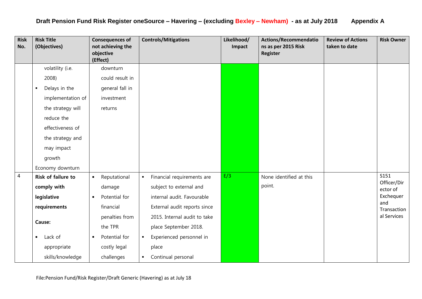| <b>Risk</b><br>No. | <b>Risk Title</b><br>(Objectives) | <b>Consequences of</b><br>not achieving the<br>objective<br>(Effect) | <b>Controls/Mitigations</b>                  | Likelihood/<br>Impact | Actions/Recommendatio<br>ns as per 2015 Risk<br>Register | <b>Review of Actions</b><br>taken to date | <b>Risk Owner</b>   |
|--------------------|-----------------------------------|----------------------------------------------------------------------|----------------------------------------------|-----------------------|----------------------------------------------------------|-------------------------------------------|---------------------|
|                    | volatility (i.e.                  | downturn                                                             |                                              |                       |                                                          |                                           |                     |
|                    | 2008)                             | could result in                                                      |                                              |                       |                                                          |                                           |                     |
|                    | Delays in the<br>$\blacksquare$   | general fall in                                                      |                                              |                       |                                                          |                                           |                     |
|                    | implementation of                 | investment                                                           |                                              |                       |                                                          |                                           |                     |
|                    | the strategy will                 | returns                                                              |                                              |                       |                                                          |                                           |                     |
|                    | reduce the                        |                                                                      |                                              |                       |                                                          |                                           |                     |
|                    | effectiveness of                  |                                                                      |                                              |                       |                                                          |                                           |                     |
|                    | the strategy and                  |                                                                      |                                              |                       |                                                          |                                           |                     |
|                    | may impact                        |                                                                      |                                              |                       |                                                          |                                           |                     |
|                    | growth                            |                                                                      |                                              |                       |                                                          |                                           |                     |
|                    | Economy downturn                  |                                                                      |                                              |                       |                                                          |                                           |                     |
| $\pmb{4}$          | <b>Risk of failure to</b>         | Reputational<br>$\blacksquare$                                       | Financial requirements are<br>$\blacksquare$ | E/3                   | None identified at this                                  |                                           | S151<br>Officer/Dir |
|                    | comply with                       | damage                                                               | subject to external and                      |                       | point.                                                   |                                           | ector of            |
|                    | legislative                       | Potential for                                                        | internal audit. Favourable                   |                       |                                                          |                                           | Exchequer           |
|                    | requirements                      | financial                                                            | External audit reports since                 |                       |                                                          |                                           | and<br>Transaction  |
|                    | Cause:                            | penalties from                                                       | 2015. Internal audit to take                 |                       |                                                          |                                           | al Services         |
|                    |                                   | the TPR                                                              | place September 2018.                        |                       |                                                          |                                           |                     |
|                    | Lack of<br>$\blacksquare$         | Potential for<br>$\blacksquare$                                      | Experienced personnel in<br>$\blacksquare$   |                       |                                                          |                                           |                     |
|                    | appropriate                       | costly legal                                                         | place                                        |                       |                                                          |                                           |                     |
|                    | skills/knowledge                  | challenges                                                           | Continual personal<br>$\blacksquare$         |                       |                                                          |                                           |                     |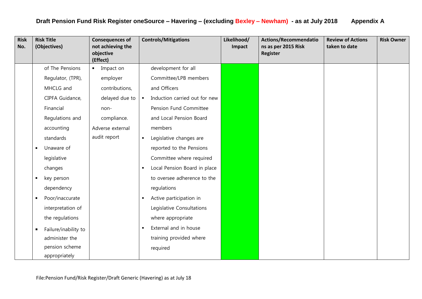| <b>Risk</b><br>No. |                | <b>Risk Title</b><br>(Objectives) |                | <b>Consequences of</b><br>not achieving the<br>objective<br>(Effect) |                | <b>Controls/Mitigations</b>   | Likelihood/<br>Impact | <b>Actions/Recommendatio</b><br>ns as per 2015 Risk<br><b>Register</b> | <b>Review of Actions</b><br>taken to date | <b>Risk Owner</b> |
|--------------------|----------------|-----------------------------------|----------------|----------------------------------------------------------------------|----------------|-------------------------------|-----------------------|------------------------------------------------------------------------|-------------------------------------------|-------------------|
|                    |                | of The Pensions                   | $\blacksquare$ | Impact on                                                            |                | development for all           |                       |                                                                        |                                           |                   |
|                    |                | Regulator, (TPR),                 |                | employer                                                             |                | Committee/LPB members         |                       |                                                                        |                                           |                   |
|                    |                | MHCLG and                         |                | contributions,                                                       |                | and Officers                  |                       |                                                                        |                                           |                   |
|                    |                | CIPFA Guidance,                   |                | delayed due to                                                       | $\blacksquare$ | Induction carried out for new |                       |                                                                        |                                           |                   |
|                    |                | Financial                         |                | non-                                                                 |                | Pension Fund Committee        |                       |                                                                        |                                           |                   |
|                    |                | Regulations and                   |                | compliance.                                                          |                | and Local Pension Board       |                       |                                                                        |                                           |                   |
|                    |                | accounting                        |                | Adverse external                                                     |                | members                       |                       |                                                                        |                                           |                   |
|                    |                | standards                         |                | audit report                                                         | $\blacksquare$ | Legislative changes are       |                       |                                                                        |                                           |                   |
|                    | $\blacksquare$ | Unaware of                        |                |                                                                      |                | reported to the Pensions      |                       |                                                                        |                                           |                   |
|                    |                | legislative                       |                |                                                                      |                | Committee where required      |                       |                                                                        |                                           |                   |
|                    |                | changes                           |                |                                                                      | ٠              | Local Pension Board in place  |                       |                                                                        |                                           |                   |
|                    | $\blacksquare$ | key person                        |                |                                                                      |                | to oversee adherence to the   |                       |                                                                        |                                           |                   |
|                    |                | dependency                        |                |                                                                      |                | regulations                   |                       |                                                                        |                                           |                   |
|                    | $\blacksquare$ | Poor/inaccurate                   |                |                                                                      | п              | Active participation in       |                       |                                                                        |                                           |                   |
|                    |                | interpretation of                 |                |                                                                      |                | Legislative Consultations     |                       |                                                                        |                                           |                   |
|                    |                | the regulations                   |                |                                                                      |                | where appropriate             |                       |                                                                        |                                           |                   |
|                    | $\blacksquare$ | Failure/inability to              |                |                                                                      | ٠              | External and in house         |                       |                                                                        |                                           |                   |
|                    |                | administer the                    |                |                                                                      |                | training provided where       |                       |                                                                        |                                           |                   |
|                    |                | pension scheme                    |                |                                                                      |                | required                      |                       |                                                                        |                                           |                   |
|                    |                | appropriately                     |                |                                                                      |                |                               |                       |                                                                        |                                           |                   |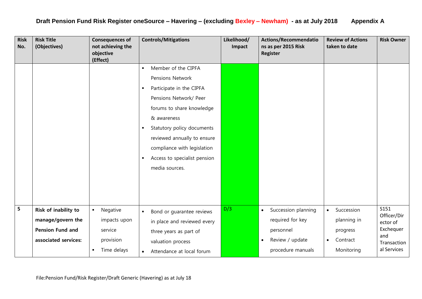| <b>Risk</b><br>No. | <b>Risk Title</b><br>(Objectives)                                                            | <b>Consequences of</b><br>not achieving the<br>objective<br>(Effect)                   | <b>Controls/Mitigations</b>                                                                                                                                                                                                                                                                                                                                            | Likelihood/<br>Impact | Actions/Recommendatio<br>ns as per 2015 Risk<br>Register                                                               | <b>Review of Actions</b><br>taken to date                                                 | <b>Risk Owner</b>                                                                 |
|--------------------|----------------------------------------------------------------------------------------------|----------------------------------------------------------------------------------------|------------------------------------------------------------------------------------------------------------------------------------------------------------------------------------------------------------------------------------------------------------------------------------------------------------------------------------------------------------------------|-----------------------|------------------------------------------------------------------------------------------------------------------------|-------------------------------------------------------------------------------------------|-----------------------------------------------------------------------------------|
|                    |                                                                                              |                                                                                        | Member of the CIPFA<br>$\blacksquare$<br><b>Pensions Network</b><br>Participate in the CIPFA<br>$\blacksquare$<br>Pensions Network/ Peer<br>forums to share knowledge<br>& awareness<br>Statutory policy documents<br>$\blacksquare$<br>reviewed annually to ensure<br>compliance with legislation<br>Access to specialist pension<br>$\blacksquare$<br>media sources. |                       |                                                                                                                        |                                                                                           |                                                                                   |
| 5                  | Risk of inability to<br>manage/govern the<br><b>Pension Fund and</b><br>associated services: | $\blacksquare$<br>Negative<br>impacts upon<br>service<br>provision<br>Time delays<br>٠ | Bond or guarantee reviews<br>$\blacksquare$<br>in place and reviewed every<br>three years as part of<br>valuation process<br>Attendance at local forum<br>$\bullet$                                                                                                                                                                                                    | D/3                   | Succession planning<br>$\bullet$<br>required for key<br>personnel<br>Review / update<br>$\bullet$<br>procedure manuals | Succession<br>$\bullet$<br>planning in<br>progress<br>Contract<br>$\bullet$<br>Monitoring | S151<br>Officer/Dir<br>ector of<br>Exchequer<br>and<br>Transaction<br>al Services |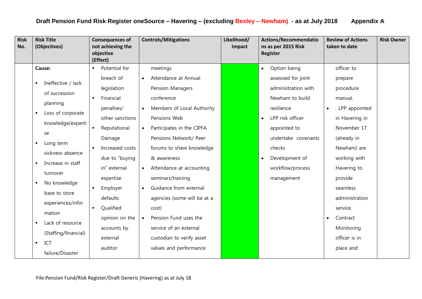| <b>Risk</b><br>No. | <b>Risk Title</b><br>(Objectives)                                                                                                                                                                                                                   | <b>Controls/Mitigations</b><br><b>Consequences of</b><br>not achieving the<br>objective<br>(Effect)                                                                                                                                                                                                                                                                                                                              | Likelihood/<br>Impact | <b>Actions/Recommendatio</b><br>ns as per 2015 Risk<br><b>Register</b>                                                                                                       | <b>Review of Actions</b><br>taken to date                                                                                                             | <b>Risk Owner</b> |
|--------------------|-----------------------------------------------------------------------------------------------------------------------------------------------------------------------------------------------------------------------------------------------------|----------------------------------------------------------------------------------------------------------------------------------------------------------------------------------------------------------------------------------------------------------------------------------------------------------------------------------------------------------------------------------------------------------------------------------|-----------------------|------------------------------------------------------------------------------------------------------------------------------------------------------------------------------|-------------------------------------------------------------------------------------------------------------------------------------------------------|-------------------|
|                    | Cause:<br>Ineffective / lack<br>٠<br>of succession<br>planning<br>Loss of corporate<br>$\blacksquare$<br>knowledge/experti<br>se<br>Long term<br>٠                                                                                                  | Potential for<br>meetings<br>$\blacksquare$<br>breach of<br>Attendance at Annual<br>$\bullet$<br>legislation<br>Pension Managers<br>Financial<br>conference<br>$\blacksquare$<br>Members of Local Authority<br>penalties/<br>$\bullet$<br>other sanctions<br>Pensions Web<br>Reputational<br>Participates in the CIPFA<br>$\bullet$<br>Pensions Network/ Peer<br>Damage<br>Increased costs<br>forums to share knowledge          |                       | Option being<br>$\bullet$<br>assessed for joint<br>administration with<br>Newham to build<br>resilience<br>LPP risk officer<br>appointed to<br>undertake covenants<br>checks | officer to<br>prepare<br>procedure<br>manual.<br>. LPP appointed<br>$\bullet$<br>in Havering in<br>November 17<br>(already in<br>Newham) are          |                   |
|                    | sickness absence<br>Increase in staff<br>$\blacksquare$<br>turnover<br>No knowledge<br>٠<br>base to store<br>experiences/infor<br>mation<br>Lack of resource<br>$\blacksquare$<br>(Staffing/financial)<br>ICT<br>$\blacksquare$<br>failure/Disaster | due to "buying<br>& awareness<br>in" external<br>Attendance at accounting<br>$\bullet$<br>seminars/training<br>expertise<br>Guidance from external<br>Employer<br>$\bullet$<br>defaults<br>agencies (some will be at a<br>Qualified<br>cost)<br>٠<br>opinion on the<br>Pension Fund uses the<br>$\bullet$<br>service of an external<br>accounts by<br>custodian to verify asset<br>external<br>values and performance<br>auditor |                       | Development of<br>workflow/process<br>management                                                                                                                             | working with<br>Havering to<br>provide<br>seamless<br>administration<br>service.<br>Contract<br>$\bullet$<br>Monitoring<br>officer is in<br>place and |                   |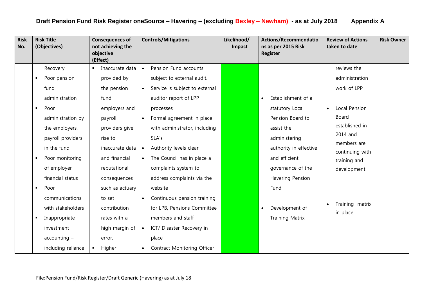| <b>Risk</b><br>No. |                | <b>Risk Title</b><br>(Objectives) |                | <b>Consequences of</b><br>not achieving the<br>objective<br>(Effect) |                          | <b>Controls/Mitigations</b>    | Likelihood/<br>Impact |           | <b>Actions/Recommendatio</b><br>ns as per 2015 Risk<br><b>Register</b> |           | <b>Review of Actions</b><br>taken to date | <b>Risk Owner</b> |
|--------------------|----------------|-----------------------------------|----------------|----------------------------------------------------------------------|--------------------------|--------------------------------|-----------------------|-----------|------------------------------------------------------------------------|-----------|-------------------------------------------|-------------------|
|                    |                | Recovery                          | $\blacksquare$ | Inaccurate data                                                      | $\bullet$                | Pension Fund accounts          |                       |           |                                                                        |           | reviews the                               |                   |
|                    | ٠              | Poor pension                      |                | provided by                                                          |                          | subject to external audit.     |                       |           |                                                                        |           | administration                            |                   |
|                    |                | fund                              |                | the pension                                                          | $\bullet$                | Service is subject to external |                       |           |                                                                        |           | work of LPP                               |                   |
|                    |                | administration                    |                | fund                                                                 |                          | auditor report of LPP          |                       |           | Establishment of a                                                     |           |                                           |                   |
|                    | $\blacksquare$ | Poor                              |                | employers and                                                        |                          | processes                      |                       |           | statutory Local                                                        | $\bullet$ | Local Pension                             |                   |
|                    |                | administration by                 |                | payroll                                                              | $\bullet$                | Formal agreement in place      |                       |           | Pension Board to                                                       |           | Board                                     |                   |
|                    |                | the employers,                    |                | providers give                                                       |                          | with administrator, including  |                       |           | assist the                                                             |           | established in                            |                   |
|                    |                | payroll providers                 |                | rise to                                                              |                          | SLA's                          |                       |           | administering                                                          |           | 2014 and<br>members are                   |                   |
|                    |                | in the fund                       |                | inaccurate data                                                      | $\bullet$                | Authority levels clear         |                       |           | authority in effective                                                 |           | continuing with                           |                   |
|                    |                | Poor monitoring                   |                | and financial                                                        | $\bullet$                | The Council has in place a     |                       |           | and efficient                                                          |           | training and                              |                   |
|                    |                | of employer                       |                | reputational                                                         |                          | complaints system to           |                       |           | governance of the                                                      |           | development                               |                   |
|                    |                | financial status                  |                | consequences                                                         |                          | address complaints via the     |                       |           | Havering Pension                                                       |           |                                           |                   |
|                    | $\blacksquare$ | Poor                              |                | such as actuary                                                      |                          | website                        |                       |           | Fund                                                                   |           |                                           |                   |
|                    |                | communications                    |                | to set                                                               |                          | Continuous pension training    |                       |           |                                                                        |           |                                           |                   |
|                    |                | with stakeholders                 |                | contribution                                                         |                          | for LPB, Pensions Committee    |                       | $\bullet$ | Development of                                                         |           | Training matrix<br>in place               |                   |
|                    | ٠              | Inappropriate                     |                | rates with a                                                         |                          | members and staff              |                       |           | <b>Training Matrix</b>                                                 |           |                                           |                   |
|                    |                | investment                        |                | high margin of                                                       | $\overline{\phantom{a}}$ | ICT/ Disaster Recovery in      |                       |           |                                                                        |           |                                           |                   |
|                    |                | $accounting -$                    |                | error.                                                               |                          | place                          |                       |           |                                                                        |           |                                           |                   |
|                    |                | including reliance                | $\blacksquare$ | Higher                                                               | $\bullet$                | Contract Monitoring Officer    |                       |           |                                                                        |           |                                           |                   |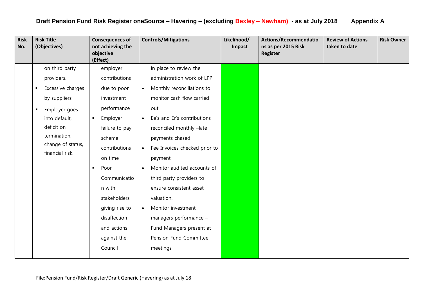| on third party<br>employer<br>in place to review the<br>contributions<br>administration work of LPP<br>providers.<br>Excessive charges<br>Monthly reconciliations to<br>due to poor<br>$\bullet$<br>$\blacksquare$<br>monitor cash flow carried<br>by suppliers<br>investment<br>performance<br>out.<br>Employer goes<br>$\blacksquare$<br>Ee's and Er's contributions<br>into default,<br>Employer<br>$\blacksquare$<br>$\bullet$<br>deficit on<br>failure to pay<br>reconciled monthly -late<br>termination,<br>scheme<br>payments chased<br>change of status,<br>contributions<br>Fee Invoices checked prior to<br>$\bullet$<br>financial risk.<br>on time<br>payment<br>Monitor audited accounts of<br>Poor<br>$\bullet$<br>٠<br>Communicatio<br>third party providers to<br>n with | <b>Risk</b><br>No. | <b>Risk Title</b><br>(Objectives) | <b>Consequences of</b><br>not achieving the<br>objective<br>(Effect) | <b>Controls/Mitigations</b> | Likelihood/<br>Impact | <b>Actions/Recommendatio</b><br>ns as per 2015 Risk<br>Register | <b>Review of Actions</b><br>taken to date | <b>Risk Owner</b> |
|-----------------------------------------------------------------------------------------------------------------------------------------------------------------------------------------------------------------------------------------------------------------------------------------------------------------------------------------------------------------------------------------------------------------------------------------------------------------------------------------------------------------------------------------------------------------------------------------------------------------------------------------------------------------------------------------------------------------------------------------------------------------------------------------|--------------------|-----------------------------------|----------------------------------------------------------------------|-----------------------------|-----------------------|-----------------------------------------------------------------|-------------------------------------------|-------------------|
| stakeholders<br>valuation.<br>giving rise to<br>Monitor investment<br>$\bullet$<br>disaffection<br>managers performance -<br>and actions<br>Fund Managers present at<br>against the<br>Pension Fund Committee<br>Council<br>meetings                                                                                                                                                                                                                                                                                                                                                                                                                                                                                                                                                    |                    |                                   |                                                                      | ensure consistent asset     |                       |                                                                 |                                           |                   |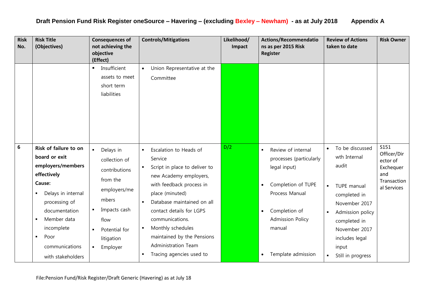| <b>Risk</b><br>No. | <b>Risk Title</b><br>(Objectives)                                                                                                                                                                                                                                 | <b>Consequences of</b><br>not achieving the<br>objective<br>(Effect)                                                                                                        | <b>Controls/Mitigations</b>                                                                                                                                                                                                                                                                                                                                                                                              | Likelihood/<br>Impact | <b>Actions/Recommendatio</b><br>ns as per 2015 Risk<br><b>Register</b>                                                                                                                                                   | <b>Review of Actions</b><br>taken to date                                                                                                                                                                                                                        | <b>Risk Owner</b>                                                                 |
|--------------------|-------------------------------------------------------------------------------------------------------------------------------------------------------------------------------------------------------------------------------------------------------------------|-----------------------------------------------------------------------------------------------------------------------------------------------------------------------------|--------------------------------------------------------------------------------------------------------------------------------------------------------------------------------------------------------------------------------------------------------------------------------------------------------------------------------------------------------------------------------------------------------------------------|-----------------------|--------------------------------------------------------------------------------------------------------------------------------------------------------------------------------------------------------------------------|------------------------------------------------------------------------------------------------------------------------------------------------------------------------------------------------------------------------------------------------------------------|-----------------------------------------------------------------------------------|
|                    |                                                                                                                                                                                                                                                                   | Insufficient<br>$\blacksquare$<br>assets to meet<br>short term<br>liabilities                                                                                               | Union Representative at the<br>$\bullet$<br>Committee                                                                                                                                                                                                                                                                                                                                                                    |                       |                                                                                                                                                                                                                          |                                                                                                                                                                                                                                                                  |                                                                                   |
| $\bf 6$            | Risk of failure to on<br>board or exit<br>employers/members<br>effectively<br>Cause:<br>Delays in internal<br>٠<br>processing of<br>documentation<br>Member data<br>$\blacksquare$<br>incomplete<br>Poor<br>$\blacksquare$<br>communications<br>with stakeholders | Delays in<br>$\blacksquare$<br>collection of<br>contributions<br>from the<br>employers/me<br>mbers<br>Impacts cash<br>flow<br>Potential for<br>litigation<br>Employer<br>٠. | Escalation to Heads of<br>$\blacksquare$<br>Service<br>Script in place to deliver to<br>$\blacksquare$<br>new Academy employers,<br>with feedback process in<br>place (minuted)<br>Database maintained on all<br>$\blacksquare$<br>contact details for LGPS<br>communications.<br>Monthly schedules<br>$\blacksquare$<br>maintained by the Pensions<br>Administration Team<br>Tracing agencies used to<br>$\blacksquare$ | D/2                   | Review of internal<br>processes (particularly<br>legal input)<br>Completion of TUPE<br>$\bullet$<br>Process Manual<br>Completion of<br>$\bullet$<br><b>Admission Policy</b><br>manual<br>Template admission<br>$\bullet$ | To be discussed<br>$\bullet$<br>wth Internal<br>audit<br>TUPE manual<br>$\blacksquare$<br>completed in<br>November 2017<br>Admission policy<br>$\blacksquare$<br>completed in<br>November 2017<br>includes legal<br>input<br>Still in progress<br>$\blacksquare$ | S151<br>Officer/Dir<br>ector of<br>Exchequer<br>and<br>Transaction<br>al Services |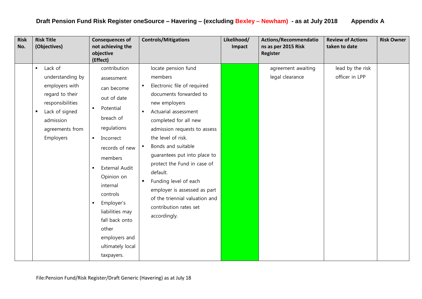| <b>Risk</b><br>No. | <b>Risk Title</b><br>(Objectives)                                                                                                                                                       | <b>Consequences of</b><br>not achieving the<br>objective<br>(Effect)                                                                                                                                                                                                                                                                     | <b>Controls/Mitigations</b>                                                                                                                                                                                                                                                                                                                                                                                                                                                                                                   | Likelihood/<br>Impact | Actions/Recommendatio<br>ns as per 2015 Risk<br><b>Register</b> | <b>Review of Actions</b><br>taken to date | <b>Risk Owner</b> |
|--------------------|-----------------------------------------------------------------------------------------------------------------------------------------------------------------------------------------|------------------------------------------------------------------------------------------------------------------------------------------------------------------------------------------------------------------------------------------------------------------------------------------------------------------------------------------|-------------------------------------------------------------------------------------------------------------------------------------------------------------------------------------------------------------------------------------------------------------------------------------------------------------------------------------------------------------------------------------------------------------------------------------------------------------------------------------------------------------------------------|-----------------------|-----------------------------------------------------------------|-------------------------------------------|-------------------|
|                    | Lack of<br>$\blacksquare$<br>understanding by<br>employers with<br>regard to their<br>responsibilities<br>Lack of signed<br>$\blacksquare$<br>admission<br>agreements from<br>Employers | contribution<br>assessment<br>can become<br>out of date<br>Potential<br>٠<br>breach of<br>regulations<br>Incorrect<br>$\blacksquare$<br>records of new<br>members<br>External Audit<br>Opinion on<br>internal<br>controls<br>Employer's<br>liabilities may<br>fall back onto<br>other<br>employers and<br>ultimately local<br>taxpayers. | locate pension fund<br>members<br>Electronic file of required<br>$\blacksquare$<br>documents forwarded to<br>new employers<br>Actuarial assessment<br>$\blacksquare$<br>completed for all new<br>admission requests to assess<br>the level of risk.<br>Bonds and suitable<br>$\blacksquare$<br>guarantees put into place to<br>protect the Fund in case of<br>default.<br>Funding level of each<br>$\blacksquare$<br>employer is assessed as part<br>of the triennial valuation and<br>contribution rates set<br>accordingly. |                       | agreement awaiting<br>legal clearance                           | lead by the risk<br>officer in LPP        |                   |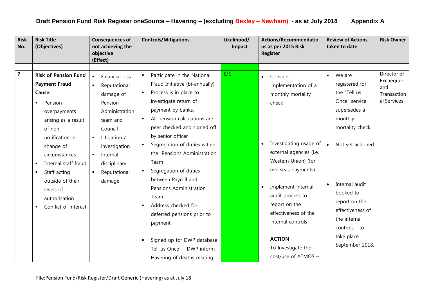| <b>Risk</b><br>No.      | <b>Risk Title</b><br>(Objectives)                                                                                                                                                                                                                                                                               | <b>Consequences of</b><br>not achieving the<br>objective<br>(Effect)                                                                                                                                                                                           | <b>Controls/Mitigations</b>                                                                                                                                                                                                                                                                                                                                                                                                                                                                                                                   | Likelihood/<br>Impact | <b>Actions/Recommendatio</b><br>ns as per 2015 Risk<br><b>Register</b>                                                                                                                                                                                                                                         | <b>Review of Actions</b><br>taken to date                                                                                                                                                                                    | <b>Risk Owner</b>                                             |
|-------------------------|-----------------------------------------------------------------------------------------------------------------------------------------------------------------------------------------------------------------------------------------------------------------------------------------------------------------|----------------------------------------------------------------------------------------------------------------------------------------------------------------------------------------------------------------------------------------------------------------|-----------------------------------------------------------------------------------------------------------------------------------------------------------------------------------------------------------------------------------------------------------------------------------------------------------------------------------------------------------------------------------------------------------------------------------------------------------------------------------------------------------------------------------------------|-----------------------|----------------------------------------------------------------------------------------------------------------------------------------------------------------------------------------------------------------------------------------------------------------------------------------------------------------|------------------------------------------------------------------------------------------------------------------------------------------------------------------------------------------------------------------------------|---------------------------------------------------------------|
|                         |                                                                                                                                                                                                                                                                                                                 |                                                                                                                                                                                                                                                                |                                                                                                                                                                                                                                                                                                                                                                                                                                                                                                                                               |                       |                                                                                                                                                                                                                                                                                                                |                                                                                                                                                                                                                              |                                                               |
| $\overline{\mathbf{z}}$ | <b>Risk of Pension Fund</b><br><b>Payment Fraud</b><br>Cause:<br>Pension<br>overpayments<br>arising as a result<br>of non-<br>notification in<br>change of<br>circumstances<br>Internal staff fraud<br>Staff acting<br>$\blacksquare$<br>outside of their<br>levels of<br>authorisation<br>Conflict of interest | Financial loss<br>$\blacksquare$<br>Reputational<br>$\blacksquare$<br>damage of<br>Pension<br>Administration<br>team and<br>Council<br>Litigation /<br>$\blacksquare$<br>investigation<br>Internal<br>$\blacksquare$<br>disciplinary<br>Reputational<br>damage | Participate in the National<br>$\blacksquare$<br>Fraud Initiative (bi-annually)<br>Process is in place to<br>$\blacksquare$<br>investigate return of<br>payment by banks.<br>All pension calculations are<br>$\blacksquare$<br>peer checked and signed off<br>by senior officer<br>Segregation of duties within<br>$\blacksquare$<br>the Pensions Administration<br>Team<br>Segregation of duties<br>$\blacksquare$<br>between Payroll and<br>Pensions Administration<br>Team<br>Address checked for<br>deferred pensions prior to<br>payment | E/1                   | Consider<br>$\bullet$<br>implementation of a<br>monthly mortality<br>check<br>Investigating usage of<br>$\bullet$<br>external agencies (i.e.<br>Western Union) (for<br>overseas payments)<br>Implement internal<br>$\bullet$<br>audit process to<br>report on the<br>effectiveness of the<br>internal controls | We are<br>$\bullet$<br>registered for<br>the "Tell us<br>Once" service<br>supersedes a<br>monthly<br>mortality check<br>Not yet actioned<br>Internal audit<br>booked to<br>report on the<br>effectiveness of<br>the internal | Director of<br>Exchequer<br>and<br>Transaction<br>al Services |
|                         |                                                                                                                                                                                                                                                                                                                 |                                                                                                                                                                                                                                                                | Signed up for DWP database<br>$\blacksquare$<br>Tell us Once - DWP inform<br>Havering of deaths relating                                                                                                                                                                                                                                                                                                                                                                                                                                      |                       | <b>ACTION</b><br>To Investigate the<br>cost/use of ATMOS -                                                                                                                                                                                                                                                     | controls - to<br>take place<br>September 2018.                                                                                                                                                                               |                                                               |